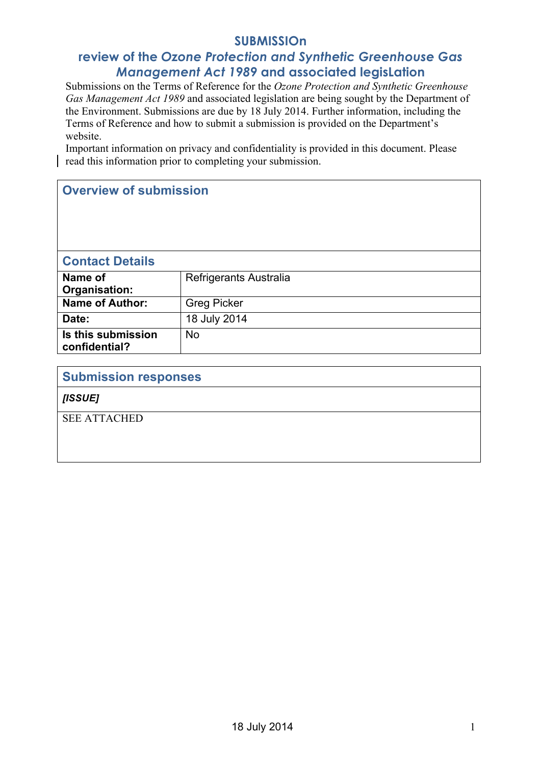# **SUBMISSIOn**

# **review of the** *Ozone Protection and Synthetic Greenhouse Gas Management Act 1989* **and associated legisLation**

Submissions on the Terms of Reference for the *Ozone Protection and Synthetic Greenhouse Gas Management Act 1989* and associated legislation are being sought by the Department of the Environment. Submissions are due by 18 July 2014. Further information, including the Terms of Reference and how to submit a submission is provided on the Department's website.

Important information on privacy and confidentiality is provided in this document. Please read this information prior to completing your submission.

# **Overview of submission**

# **Contact Details**

| Name of<br>Organisation:            | Refrigerants Australia |
|-------------------------------------|------------------------|
| <b>Name of Author:</b>              | <b>Greg Picker</b>     |
| Date:                               | 18 July 2014           |
| Is this submission<br>confidential? | No                     |

| <b>Submission responses</b> |
|-----------------------------|
| [ISSUE]                     |
| <b>SEE ATTACHED</b>         |
|                             |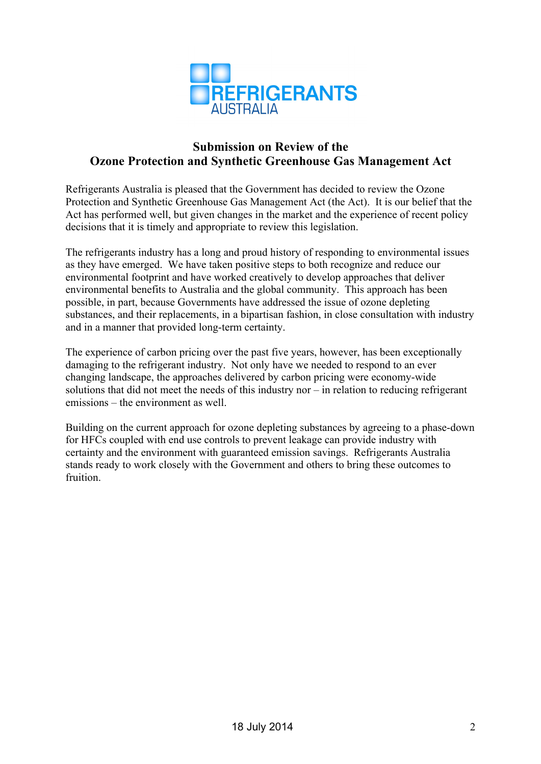

# **Submission on Review of the Ozone Protection and Synthetic Greenhouse Gas Management Act**

Refrigerants Australia is pleased that the Government has decided to review the Ozone Protection and Synthetic Greenhouse Gas Management Act (the Act). It is our belief that the Act has performed well, but given changes in the market and the experience of recent policy decisions that it is timely and appropriate to review this legislation.

The refrigerants industry has a long and proud history of responding to environmental issues as they have emerged. We have taken positive steps to both recognize and reduce our environmental footprint and have worked creatively to develop approaches that deliver environmental benefits to Australia and the global community. This approach has been possible, in part, because Governments have addressed the issue of ozone depleting substances, and their replacements, in a bipartisan fashion, in close consultation with industry and in a manner that provided long-term certainty.

The experience of carbon pricing over the past five years, however, has been exceptionally damaging to the refrigerant industry. Not only have we needed to respond to an ever changing landscape, the approaches delivered by carbon pricing were economy-wide solutions that did not meet the needs of this industry nor – in relation to reducing refrigerant emissions – the environment as well.

Building on the current approach for ozone depleting substances by agreeing to a phase-down for HFCs coupled with end use controls to prevent leakage can provide industry with certainty and the environment with guaranteed emission savings. Refrigerants Australia stands ready to work closely with the Government and others to bring these outcomes to fruition.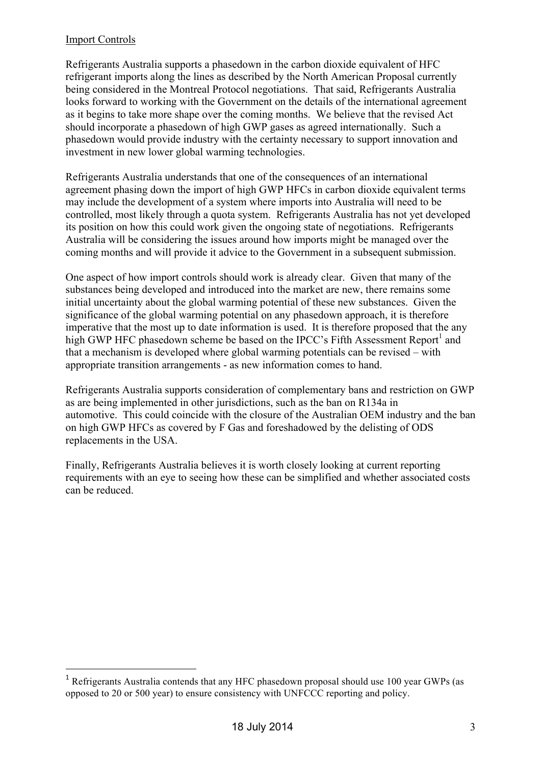## Import Controls

 $\overline{a}$ 

Refrigerants Australia supports a phasedown in the carbon dioxide equivalent of HFC refrigerant imports along the lines as described by the North American Proposal currently being considered in the Montreal Protocol negotiations. That said, Refrigerants Australia looks forward to working with the Government on the details of the international agreement as it begins to take more shape over the coming months. We believe that the revised Act should incorporate a phasedown of high GWP gases as agreed internationally. Such a phasedown would provide industry with the certainty necessary to support innovation and investment in new lower global warming technologies.

Refrigerants Australia understands that one of the consequences of an international agreement phasing down the import of high GWP HFCs in carbon dioxide equivalent terms may include the development of a system where imports into Australia will need to be controlled, most likely through a quota system. Refrigerants Australia has not yet developed its position on how this could work given the ongoing state of negotiations. Refrigerants Australia will be considering the issues around how imports might be managed over the coming months and will provide it advice to the Government in a subsequent submission.

One aspect of how import controls should work is already clear. Given that many of the substances being developed and introduced into the market are new, there remains some initial uncertainty about the global warming potential of these new substances. Given the significance of the global warming potential on any phasedown approach, it is therefore imperative that the most up to date information is used. It is therefore proposed that the any high GWP HFC phasedown scheme be based on the IPCC's Fifth Assessment Report<sup>1</sup> and that a mechanism is developed where global warming potentials can be revised – with appropriate transition arrangements - as new information comes to hand.

Refrigerants Australia supports consideration of complementary bans and restriction on GWP as are being implemented in other jurisdictions, such as the ban on R134a in automotive. This could coincide with the closure of the Australian OEM industry and the ban on high GWP HFCs as covered by F Gas and foreshadowed by the delisting of ODS replacements in the USA.

Finally, Refrigerants Australia believes it is worth closely looking at current reporting requirements with an eye to seeing how these can be simplified and whether associated costs can be reduced.

<sup>&</sup>lt;sup>1</sup> Refrigerants Australia contends that any HFC phasedown proposal should use 100 year GWPs (as opposed to 20 or 500 year) to ensure consistency with UNFCCC reporting and policy.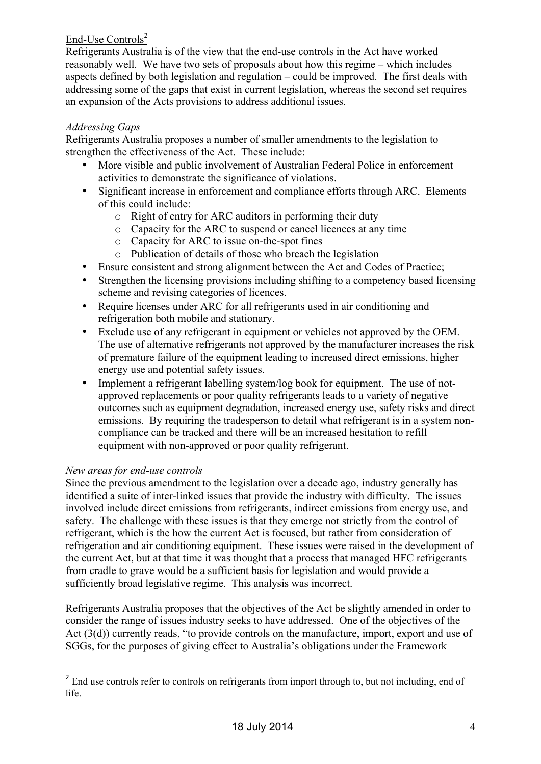## End-Use Controls<sup>2</sup>

Refrigerants Australia is of the view that the end-use controls in the Act have worked reasonably well. We have two sets of proposals about how this regime – which includes aspects defined by both legislation and regulation – could be improved. The first deals with addressing some of the gaps that exist in current legislation, whereas the second set requires an expansion of the Acts provisions to address additional issues.

## *Addressing Gaps*

Refrigerants Australia proposes a number of smaller amendments to the legislation to strengthen the effectiveness of the Act. These include:

- More visible and public involvement of Australian Federal Police in enforcement activities to demonstrate the significance of violations.
- Significant increase in enforcement and compliance efforts through ARC. Elements of this could include:
	- o Right of entry for ARC auditors in performing their duty
	- o Capacity for the ARC to suspend or cancel licences at any time
	- o Capacity for ARC to issue on-the-spot fines
	- o Publication of details of those who breach the legislation
- Ensure consistent and strong alignment between the Act and Codes of Practice;
- Strengthen the licensing provisions including shifting to a competency based licensing scheme and revising categories of licences.
- Require licenses under ARC for all refrigerants used in air conditioning and refrigeration both mobile and stationary.
- Exclude use of any refrigerant in equipment or vehicles not approved by the OEM. The use of alternative refrigerants not approved by the manufacturer increases the risk of premature failure of the equipment leading to increased direct emissions, higher energy use and potential safety issues.
- Implement a refrigerant labelling system/log book for equipment. The use of notapproved replacements or poor quality refrigerants leads to a variety of negative outcomes such as equipment degradation, increased energy use, safety risks and direct emissions. By requiring the tradesperson to detail what refrigerant is in a system noncompliance can be tracked and there will be an increased hesitation to refill equipment with non-approved or poor quality refrigerant.

## *New areas for end-use controls*

 $\overline{a}$ 

Since the previous amendment to the legislation over a decade ago, industry generally has identified a suite of inter-linked issues that provide the industry with difficulty. The issues involved include direct emissions from refrigerants, indirect emissions from energy use, and safety. The challenge with these issues is that they emerge not strictly from the control of refrigerant, which is the how the current Act is focused, but rather from consideration of refrigeration and air conditioning equipment. These issues were raised in the development of the current Act, but at that time it was thought that a process that managed HFC refrigerants from cradle to grave would be a sufficient basis for legislation and would provide a sufficiently broad legislative regime. This analysis was incorrect.

Refrigerants Australia proposes that the objectives of the Act be slightly amended in order to consider the range of issues industry seeks to have addressed. One of the objectives of the Act (3(d)) currently reads, "to provide controls on the manufacture, import, export and use of SGGs, for the purposes of giving effect to Australia's obligations under the Framework

<sup>&</sup>lt;sup>2</sup> End use controls refer to controls on refrigerants from import through to, but not including, end of life.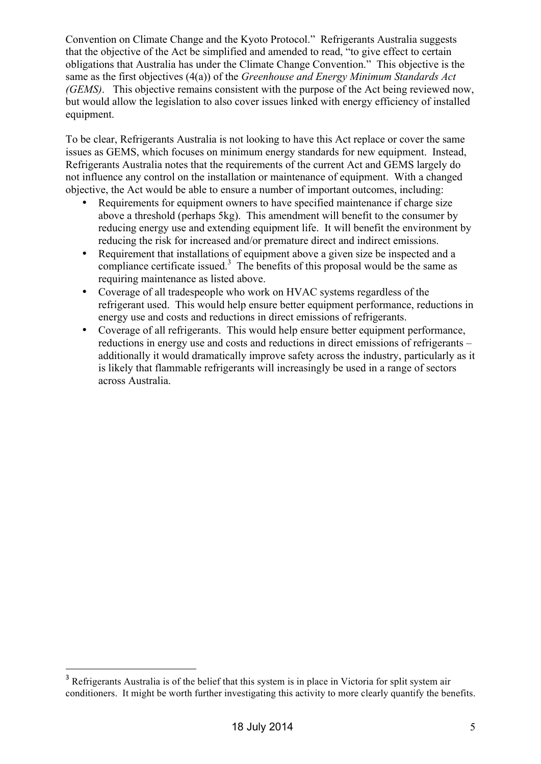Convention on Climate Change and the Kyoto Protocol." Refrigerants Australia suggests that the objective of the Act be simplified and amended to read, "to give effect to certain obligations that Australia has under the Climate Change Convention." This objective is the same as the first objectives (4(a)) of the *Greenhouse and Energy Minimum Standards Act (GEMS)*. This objective remains consistent with the purpose of the Act being reviewed now, but would allow the legislation to also cover issues linked with energy efficiency of installed equipment.

To be clear, Refrigerants Australia is not looking to have this Act replace or cover the same issues as GEMS, which focuses on minimum energy standards for new equipment. Instead, Refrigerants Australia notes that the requirements of the current Act and GEMS largely do not influence any control on the installation or maintenance of equipment. With a changed objective, the Act would be able to ensure a number of important outcomes, including:

- Requirements for equipment owners to have specified maintenance if charge size above a threshold (perhaps 5kg). This amendment will benefit to the consumer by reducing energy use and extending equipment life. It will benefit the environment by reducing the risk for increased and/or premature direct and indirect emissions.
- Requirement that installations of equipment above a given size be inspected and a compliance certificate issued. $3$  The benefits of this proposal would be the same as requiring maintenance as listed above.
- Coverage of all tradespeople who work on HVAC systems regardless of the refrigerant used. This would help ensure better equipment performance, reductions in energy use and costs and reductions in direct emissions of refrigerants.
- Coverage of all refrigerants. This would help ensure better equipment performance, reductions in energy use and costs and reductions in direct emissions of refrigerants – additionally it would dramatically improve safety across the industry, particularly as it is likely that flammable refrigerants will increasingly be used in a range of sectors across Australia.

 $\overline{a}$ 

<sup>&</sup>lt;sup>3</sup> Refrigerants Australia is of the belief that this system is in place in Victoria for split system air conditioners. It might be worth further investigating this activity to more clearly quantify the benefits.